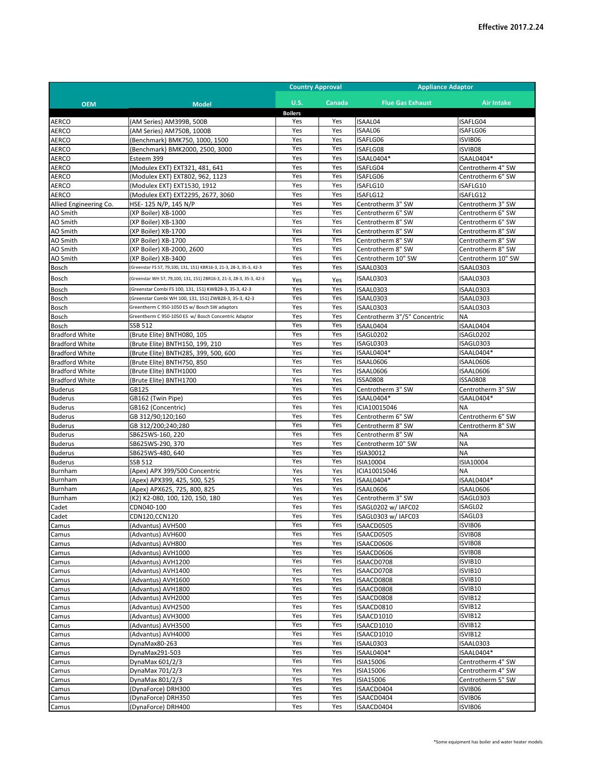|                        |                                                                     | <b>Country Approval</b> |        | <b>Appliance Adaptor</b>     |                    |
|------------------------|---------------------------------------------------------------------|-------------------------|--------|------------------------------|--------------------|
| <b>OEM</b>             | <b>Model</b>                                                        | <b>U.S.</b>             | Canada | <b>Flue Gas Exhaust</b>      | <b>Air Intake</b>  |
|                        |                                                                     | <b>Boilers</b>          |        |                              |                    |
| <b>AERCO</b>           | (AM Series) AM399B, 500B                                            | Yes                     | Yes    | ISAAL04                      | ISAFLG04           |
| <b>AERCO</b>           | (AM Series) AM750B, 1000B                                           | Yes                     | Yes    | ISAAL06                      | ISAFLG06           |
| <b>AERCO</b>           | (Benchmark) BMK750, 1000, 1500                                      | Yes                     | Yes    | ISAFLG06                     | ISVIB06            |
| <b>AERCO</b>           | (Benchmark) BMK2000, 2500, 3000                                     | Yes                     | Yes    | ISAFLG08                     | ISVIB08            |
| AERCO                  | Esteem 399                                                          | Yes                     | Yes    | ISAAL0404*                   | ISAAL0404*         |
| AERCO                  | (Modulex EXT) EXT321, 481, 641                                      | Yes                     | Yes    | ISAFLG04                     | Centrotherm 4" SW  |
| <b>AERCO</b>           | (Modulex EXT) EXT802, 962, 1123                                     | Yes                     | Yes    | ISAFLG06                     | Centrotherm 6" SW  |
| <b>AERCO</b>           | (Modulex EXT) EXT1530, 1912                                         | Yes                     | Yes    | ISAFLG10                     | ISAFLG10           |
| <b>AERCO</b>           | (Modulex EXT) EXT2295, 2677, 3060                                   | Yes                     | Yes    | ISAFLG12                     | ISAFLG12           |
| Allied Engineering Co. | HSE-125 N/P, 145 N/P                                                | Yes                     | Yes    | Centrotherm 3" SW            | Centrotherm 3" SW  |
| AO Smith               | (XP Boiler) XB-1000                                                 | Yes                     | Yes    | Centrotherm 6" SW            | Centrotherm 6" SW  |
| AO Smith               | (XP Boiler) XB-1300                                                 | Yes                     | Yes    | Centrotherm 8" SW            | Centrotherm 6" SW  |
| AO Smith               | (XP Boiler) XB-1700                                                 | Yes                     | Yes    | Centrotherm 8" SW            | Centrotherm 8" SW  |
| AO Smith               | (XP Boiler) XB-1700                                                 | Yes                     | Yes    | Centrotherm 8" SW            | Centrotherm 8" SW  |
| AO Smith               | (XP Boiler) XB-2000, 2600                                           | Yes                     | Yes    | Centrotherm 8" SW            | Centrotherm 8" SW  |
| AO Smith               | (XP Boiler) XB-3400                                                 | Yes                     | Yes    | Centrotherm 10" SW           | Centrotherm 10" SW |
| Bosch                  | (Greenstar FS 57, 79,100, 131, 151) KBR16-3, 21-3, 28-3, 35-3, 42-3 | Yes                     | Yes    | ISAAL0303                    | ISAAL0303          |
| Bosch                  | (Greenstar WH 57, 79,100, 131, 151) ZBR16-3, 21-3, 28-3, 35-3, 42-3 | Yes                     | Yes    | ISAAL0303                    | ISAAL0303          |
| Bosch                  | (Greenstar Combi FS 100, 131, 151) KWB28-3, 35-3, 42-3              | Yes                     | Yes    | ISAAL0303                    | ISAAL0303          |
| Bosch                  | (Greenstar Combi WH 100, 131, 151) ZWB28-3, 35-3, 42-3              | Yes                     | Yes    | ISAAL0303                    | ISAAL0303          |
| Bosch                  | Greentherm C 950-1050 ES w/ Bosch SW adaptors                       | Yes                     | Yes    | ISAAL0303                    | ISAAL0303          |
| Bosch                  | Greentherm C 950-1050 ES w/ Bosch Concentric Adaptor                | Yes                     | Yes    | Centrotherm 3"/5" Concentric | <b>NA</b>          |
| Bosch                  | <b>SSB 512</b>                                                      | Yes                     | Yes    | ISAAL0404                    | ISAAL0404          |
| <b>Bradford White</b>  | (Brute Elite) BNTH080, 105                                          | Yes                     | Yes    | ISAGL0202                    | ISAGL0202          |
| <b>Bradford White</b>  | (Brute Elite) BNTH150, 199, 210                                     | Yes                     | Yes    | ISAGL0303                    | ISAGL0303          |
| <b>Bradford White</b>  | (Brute Elite) BNTH285, 399, 500, 600                                | Yes                     | Yes    | ISAAL0404*                   | ISAAL0404*         |
| <b>Bradford White</b>  | (Brute Elite) BNTH750, 850                                          | Yes                     | Yes    | ISAAL0606                    | ISAAL0606          |
| <b>Bradford White</b>  | (Brute Elite) BNTH1000                                              | Yes                     | Yes    | ISAAL0606                    | ISAAL0606          |
| <b>Bradford White</b>  | (Brute Elite) BNTH1700                                              | Yes                     | Yes    | <b>ISSA0808</b>              | <b>ISSA0808</b>    |
| <b>Buderus</b>         | GB125                                                               | Yes                     | Yes    | Centrotherm 3" SW            | Centrotherm 3" SW  |
| <b>Buderus</b>         | GB162 (Twin Pipe)                                                   | Yes                     | Yes    | ISAAL0404*                   | ISAAL0404*         |
| <b>Buderus</b>         | GB162 (Concentric)                                                  | Yes                     | Yes    | ICIA10015046                 | <b>NA</b>          |
| <b>Buderus</b>         | GB 312/90;120;160                                                   | Yes                     | Yes    | Centrotherm 6" SW            | Centrotherm 6" SW  |
| <b>Buderus</b>         | GB 312/200;240;280                                                  | Yes                     | Yes    | Centrotherm 8" SW            | Centrotherm 8" SW  |
| <b>Buderus</b>         | SB625WS-160, 220                                                    | Yes                     | Yes    | Centrotherm 8" SW            | <b>NA</b>          |
| <b>Buderus</b>         | SB625WS-290, 370                                                    | Yes                     | Yes    | Centrotherm 10" SW           | <b>NA</b>          |
| <b>Buderus</b>         | SB625WS-480, 640                                                    | Yes                     | Yes    | ISIA30012                    | <b>NA</b>          |
| <b>Buderus</b>         | <b>SSB 512</b>                                                      | Yes                     | Yes    | ISIA10004                    | ISIA10004          |
| Burnham                | (Apex) APX 399/500 Concentric                                       | Yes                     | Yes    | ICIA10015046                 | <b>NA</b>          |
| Burnham                | (Apex) APX399, 425, 500, 525                                        | Yes                     | Yes    | ISAAL0404*                   | ISAAL0404*         |
| Burnham                | (Apex) APX625, 725, 800, 825                                        | Yes                     | Yes    | ISAAL0606                    | ISAAL0606          |
| Burnham                | (K2) K2-080, 100, 120, 150, 180                                     | Yes                     | Yes    | Centrotherm 3" SW            | ISAGL0303          |
| Cadet                  | CDN040-100                                                          | Yes                     | Yes    | ISAGL0202 w/ IAFC02          | ISAGL02            |
| Cadet                  | CDN120,CCN120                                                       | Yes                     | Yes    | ISAGL0303 w/ IAFC03          | ISAGL03            |
| Camus                  | (Advantus) AVH500                                                   | Yes                     | Yes    | ISAACD0505                   | ISVIB06            |
| Camus                  | (Advantus) AVH600                                                   | Yes                     | Yes    | ISAACD0505                   | ISVIB08            |
| Camus                  | (Advantus) AVH800                                                   | Yes                     | Yes    | ISAACD0606                   | ISVIB08            |
| Camus                  | (Advantus) AVH1000                                                  | Yes                     | Yes    | ISAACD0606                   | ISVIB08            |
| Camus                  | (Advantus) AVH1200                                                  | Yes                     | Yes    | ISAACD0708                   | ISVIB10            |
| Camus                  | (Advantus) AVH1400                                                  | Yes                     | Yes    | ISAACD0708                   | ISVIB10            |
| Camus                  | (Advantus) AVH1600                                                  | Yes                     | Yes    | ISAACD0808                   | ISVIB10            |
| Camus                  | (Advantus) AVH1800                                                  | Yes                     | Yes    | ISAACD0808                   | ISVIB10            |
| Camus                  | (Advantus) AVH2000                                                  | Yes                     | Yes    | ISAACD0808                   | ISVIB12            |
| Camus                  | (Advantus) AVH2500                                                  | Yes                     | Yes    | ISAACD0810                   | ISVIB12            |
| Camus                  | (Advantus) AVH3000                                                  | Yes                     | Yes    | ISAACD1010                   | ISVIB12            |
| Camus                  | (Advantus) AVH3500                                                  | Yes                     | Yes    | ISAACD1010                   | ISVIB12            |
| Camus                  | (Advantus) AVH4000                                                  | Yes                     | Yes    | ISAACD1010                   | ISVIB12            |
| Camus                  | DynaMax80-263                                                       | Yes                     | Yes    | ISAAL0303                    | ISAAL0303          |
| Camus                  | DynaMax291-503                                                      | Yes                     | Yes    | ISAAL0404*                   | ISAAL0404*         |
| Camus                  | DynaMax 601/2/3                                                     | Yes                     | Yes    | ISIA15006                    | Centrotherm 4" SW  |
| Camus                  | DynaMax 701/2/3                                                     | Yes                     | Yes    | ISIA15006                    | Centrotherm 4" SW  |
| Camus                  | DynaMax 801/2/3                                                     | Yes                     | Yes    | ISIA15006                    | Centrotherm 5" SW  |
| Camus                  | (DynaForce) DRH300                                                  | Yes                     | Yes    | ISAACD0404                   | ISVIB06            |
| Camus                  | (DynaForce) DRH350                                                  | Yes                     | Yes    | ISAACD0404                   | ISVIB06            |
| Camus                  | (DynaForce) DRH400                                                  | Yes                     | Yes    | ISAACD0404                   | ISVIB06            |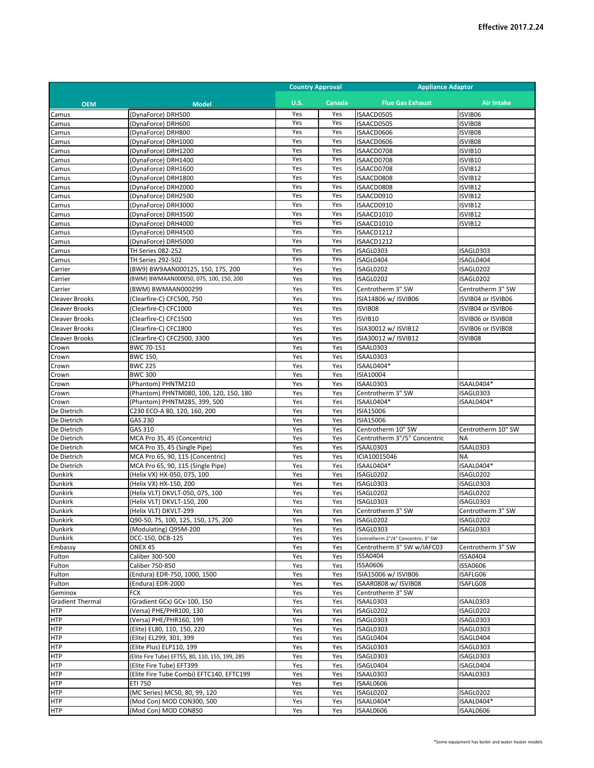|                          |                                                                             | <b>Country Approval</b> |            | <b>Appliance Adaptor</b>                |                         |
|--------------------------|-----------------------------------------------------------------------------|-------------------------|------------|-----------------------------------------|-------------------------|
| <b>OEM</b>               | <b>Model</b>                                                                | <b>U.S.</b>             | Canada     | <b>Flue Gas Exhaust</b>                 | <b>Air Intake</b>       |
| Camus                    | (DynaForce) DRH500                                                          | Yes                     | Yes        | ISAACD0505                              | ISVIB06                 |
| Camus                    | (DynaForce) DRH600                                                          | Yes                     | Yes        | ISAACD0505                              | ISVIB08                 |
| Camus                    | (DynaForce) DRH800                                                          | Yes                     | Yes        | ISAACD0606                              | ISVIB08                 |
| Camus                    | (DynaForce) DRH1000                                                         | Yes                     | Yes        | ISAACD0606                              | ISVIB08                 |
| Camus                    | (DynaForce) DRH1200                                                         | Yes<br>Yes              | Yes<br>Yes | ISAACD0708                              | ISVIB10                 |
| Camus<br>Camus           | (DynaForce) DRH1400<br>(DynaForce) DRH1600                                  | Yes                     | Yes        | ISAACD0708<br>ISAACD0708                | ISVIB10<br>ISVIB12      |
| Camus                    | (DynaForce) DRH1800                                                         | Yes                     | Yes        | ISAACD0808                              | ISVIB12                 |
| Camus                    | (DynaForce) DRH2000                                                         | Yes                     | Yes        | ISAACD0808                              | ISVIB12                 |
| Camus                    | (DynaForce) DRH2500                                                         | Yes                     | Yes        | ISAACD0910                              | ISVIB12                 |
| Camus                    | (DynaForce) DRH3000                                                         | Yes                     | Yes        | ISAACD0910                              | ISVIB12                 |
| Camus                    | (DynaForce) DRH3500                                                         | Yes                     | Yes        | ISAACD1010                              | ISVIB12                 |
| Camus                    | (DynaForce) DRH4000                                                         | Yes                     | Yes        | ISAACD1010                              | ISVIB12                 |
| Camus                    | (DynaForce) DRH4500                                                         | Yes                     | Yes        | ISAACD1212                              |                         |
| Camus                    | (DynaForce) DRH5000                                                         | Yes                     | Yes        | ISAACD1212                              |                         |
| Camus                    | TH Series 082-252                                                           | Yes                     | Yes        | ISAGL0303                               | ISAGL0303               |
| Camus                    | TH Series 292-502                                                           | Yes                     | Yes        | ISAGL0404                               | ISAGL0404               |
| Carrier                  | (BW9) BW9AAN000125, 150, 175, 200<br>(BWM) BWMAAN000050, 075, 100, 150, 200 | Yes                     | Yes        | ISAGL0202                               | ISAGL0202               |
| Carrier                  |                                                                             | Yes                     | Yes        | ISAGL0202                               | ISAGL0202               |
| Carrier                  | (BWM) BWMAAN000299                                                          | Yes                     | Yes        | Centrotherm 3" SW                       | Centrotherm 3" SW       |
| Cleaver Brooks           | (Clearfire-C) CFC500, 750                                                   | Yes                     | Yes        | ISIA14806 w/ ISVIB06                    | ISVIB04 or ISVIB06      |
| <b>Cleaver Brooks</b>    | (Clearfire-C) CFC1000                                                       | Yes                     | Yes        | ISVIB08                                 | ISVIB04 or ISVIB06      |
| <b>Cleaver Brooks</b>    | (Clearfire-C) CFC1500                                                       | Yes                     | Yes        | ISVIB10                                 | ISVIB06 or ISVIB08      |
| <b>Cleaver Brooks</b>    | (Clearfire-C) CFC1800                                                       | Yes                     | Yes        | ISIA30012 w/ ISVIB12                    | ISVIB06 or ISVIB08      |
| Cleaver Brooks           | (Clearfire-C) CFC2500, 3300                                                 | Yes                     | Yes        | ISIA30012 w/ ISVIB12                    | ISVIB08                 |
| Crown                    | BWC 70-151                                                                  | Yes<br>Yes              | Yes<br>Yes | ISAAL0303<br>ISAAL0303                  |                         |
| Crown<br>Crown           | BWC 150,<br><b>BWC 225</b>                                                  | Yes                     | Yes        | ISAAL0404*                              |                         |
| Crown                    | <b>BWC 300</b>                                                              | Yes                     | Yes        | ISIA10004                               |                         |
| Crown                    | (Phantom) PHNTM210                                                          | Yes                     | Yes        | ISAAL0303                               | ISAAL0404*              |
| Crown                    | (Phantom) PHNTM080, 100, 120, 150, 180                                      | Yes                     | Yes        | Centrotherm 3" SW                       | ISAGL0303               |
| Crown                    | (Phantom) PHNTM285, 399, 500                                                | Yes                     | Yes        | ISAAL0404*                              | ISAAL0404*              |
| De Dietrich              | C230 ECO-A 80, 120, 160, 200                                                | Yes                     | Yes        | ISIA15006                               |                         |
| De Dietrich              | GAS 230                                                                     | Yes                     | Yes        | ISIA15006                               |                         |
| De Dietrich              | GAS 310                                                                     | Yes                     | Yes        | Centrotherm 10" SW                      | Centrotherm 10" SW      |
| De Dietrich              | MCA Pro 35, 45 (Concentric)                                                 | Yes                     | Yes        | Centrotherm 3"/5" Concentric            | <b>NA</b>               |
| De Dietrich              | MCA Pro 35, 45 (Single Pipe)                                                | Yes                     | Yes        | ISAAL0303                               | ISAAL0303               |
| De Dietrich              | MCA Pro 65, 90, 115 (Concentric)                                            | Yes                     | Yes        | ICIA10015046                            | NA                      |
| De Dietrich<br>Dunkirk   | MCA Pro 65, 90, 115 (Single Pipe)<br>(Helix VX) HX-050, 075, 100            | Yes<br>Yes              | Yes<br>Yes | ISAAL0404*<br>ISAGL0202                 | ISAAL0404*<br>ISAGL0202 |
| Dunkirk                  | (Helix VX) HX-150, 200                                                      | Yes                     | Yes        | ISAGL0303                               | ISAGL0303               |
| Dunkirk                  | (Helix VLT) DKVLT-050, 075, 100                                             | Yes                     | Yes        | ISAGL0202                               | ISAGL0202               |
| Dunkirk                  | (Helix VLT) DKVLT-150, 200                                                  | Yes                     | Yes        | ISAGL0303                               | ISAGL0303               |
| <b>Dunkirk</b>           | (Helix VLT) DKVLT-299                                                       | Yes                     | Yes        | Centrotherm 3" SW                       | Centrotherm 3" SW       |
| <b>Dunkirk</b>           | Q90-50, 75, 100, 125, 150, 175, 200                                         | Yes                     | Yes        | ISAGL0202                               | ISAGL0202               |
| <b>Dunkirk</b>           | (Modulating) Q95M-200                                                       | Yes                     | Yes        | ISAGL0303                               | ISAGL0303               |
| Dunkirk                  | DCC-150, DCB-125                                                            | Yes                     | Yes        | Centrotherm 2"/4" Concentric, 3" SW     |                         |
| Embassy                  | ONEX 45                                                                     | Yes                     | Yes        | Centrotherm 3" SW w/IAFC03              | Centrotherm 3" SW       |
| Fulton                   | Caliber 300-500                                                             | Yes                     | Yes        | ISSA0404                                | ISSA0404                |
| Fulton                   | Caliber 750-850<br>(Endura) EDR-750, 1000, 1500                             | Yes<br>Yes              | Yes<br>Yes | <b>ISSA0606</b><br>ISIA15006 w/ ISVIB06 | ISSA0606<br>ISAFLG06    |
| Fulton<br>Fulton         | (Endura) EDR-2000                                                           | Yes                     | Yes        | ISAAR0808 w/ ISVIB08                    | ISAFLG08                |
| Geminox                  | FCX                                                                         | Yes                     | Yes        | Centrotherm 3" SW                       |                         |
| <b>Gradient Thermal</b>  | (Gradient GCx) GCx-100, 150                                                 | Yes                     | Yes        | ISAAL0303                               | ISAAL0303               |
| <b>HTP</b>               | (Versa) PHE/PHR100, 130                                                     | Yes                     | Yes        | ISAGL0202                               | ISAGL0202               |
| <b>HTP</b>               | (Versa) PHE/PHR160, 199                                                     | Yes                     | Yes        | ISAGL0303                               | ISAGL0303               |
| <b>HTP</b>               | (Elite) EL80, 110, 150, 220                                                 | Yes                     | Yes        | ISAGL0303                               | ISAGL0303               |
| <b>HTP</b>               | (Elite) EL299, 301, 399                                                     | Yes                     | Yes        | ISAGL0404                               | ISAGL0404               |
| <b>HTP</b>               | (Elite Plus) ELP110, 199                                                    | Yes                     | Yes        | ISAGL0303                               | ISAGL0303               |
| HTP                      | (Elite Fire Tube) EFT55, 80, 110, 155, 199, 285                             | Yes                     | Yes        | ISAGL0303                               | ISAGL0303               |
| <b>HTP</b>               | (Elite Fire Tube) EFT399                                                    | Yes                     | Yes        | ISAGL0404                               | ISAGL0404               |
| <b>HTP</b>               | (Elite Fire Tube Combi) EFTC140, EFTC199                                    | Yes                     | Yes        | ISAAL0303                               | ISAAL0303               |
| <b>HTP</b>               | ETI 750                                                                     | Yes                     | Yes        | ISAAL0606                               |                         |
| <b>HTP</b><br><b>HTP</b> | (MC Series) MC50, 80, 99, 120<br>(Mod Con) MOD CON300, 500                  | Yes<br>Yes              | Yes<br>Yes | ISAGL0202<br>ISAAL0404*                 | ISAGL0202<br>ISAAL0404* |
| <b>HTP</b>               | (Mod Con) MOD CON850                                                        | Yes                     | Yes        | ISAAL0606                               | ISAAL0606               |
|                          |                                                                             |                         |            |                                         |                         |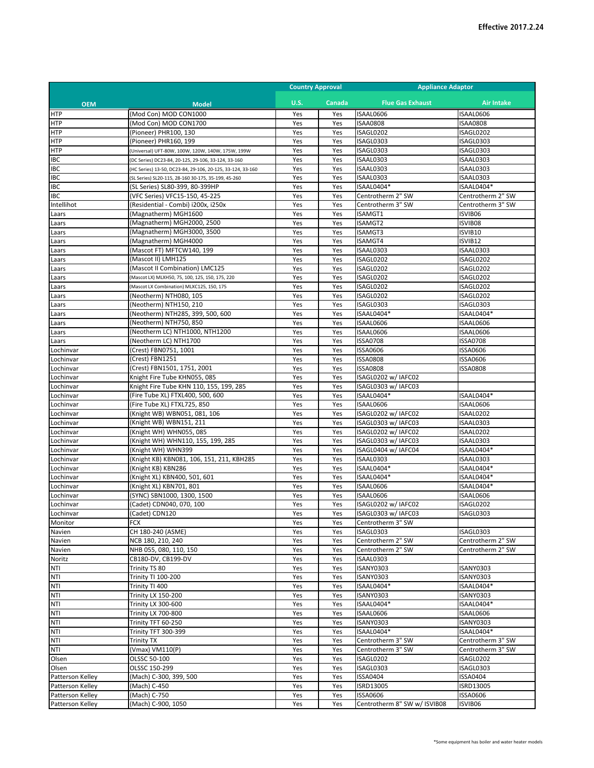|                          |                                                            | <b>Country Approval</b> |            | <b>Appliance Adaptor</b>     |                              |
|--------------------------|------------------------------------------------------------|-------------------------|------------|------------------------------|------------------------------|
| <b>OEM</b>               | <b>Model</b>                                               | <b>U.S.</b>             | Canada     | <b>Flue Gas Exhaust</b>      | <b>Air Intake</b>            |
| <b>HTP</b>               | (Mod Con) MOD CON1000                                      | Yes                     | Yes        | ISAAL0606                    | ISAAL0606                    |
| <b>HTP</b>               | (Mod Con) MOD CON1700                                      | Yes                     | Yes        | <b>ISAA0808</b>              | <b>ISAA0808</b>              |
| <b>HTP</b>               | (Pioneer) PHR100, 130                                      | Yes                     | Yes        | ISAGL0202                    | ISAGL0202                    |
| HTP                      | (Pioneer) PHR160, 199                                      | Yes                     | Yes        | ISAGL0303                    | ISAGL0303                    |
| <b>HTP</b>               | (Universal) UFT-80W, 100W, 120W, 140W, 175W, 199W          | Yes                     | Yes        | ISAGL0303                    | ISAGL0303                    |
| IBC                      | DC Series) DC23-84, 20-125, 29-106, 33-124, 33-160         | Yes                     | Yes        | ISAAL0303                    | ISAAL0303                    |
| IBC                      | (HC Series) 13-50, DC23-84, 29-106, 20-125, 33-124, 33-160 | Yes                     | Yes        | ISAAL0303                    | ISAAL0303                    |
| <b>IBC</b>               | [SL Series] SL20-115, 28-160 30-175, 35-199, 45-260        | Yes                     | Yes        | ISAAL0303                    | ISAAL0303                    |
| <b>IBC</b>               | (SL Series) SL80-399, 80-399HP                             | Yes                     | Yes        | ISAAL0404*                   | ISAAL0404*                   |
| <b>IBC</b>               | (VFC Series) VFC15-150, 45-225                             | Yes                     | Yes        | Centrotherm 2" SW            | Centrotherm 2" SW            |
| Intellihot               | (Residential - Combi) i200x, i250x                         | Yes                     | Yes        | Centrotherm 3" SW            | Centrotherm 3" SW            |
| Laars                    | (Magnatherm) MGH1600                                       | Yes                     | Yes        | ISAMGT1                      | ISVIB06                      |
| Laars                    | (Magnatherm) MGH2000, 2500                                 | Yes                     | Yes        | <b>ISAMGT2</b>               | ISVIB08                      |
| Laars                    | (Magnatherm) MGH3000, 3500                                 | Yes                     | Yes        | <b>ISAMGT3</b>               | ISVIB10                      |
| Laars                    | (Magnatherm) MGH4000                                       | Yes                     | Yes        | ISAMGT4                      | ISVIB12                      |
| Laars                    | (Mascot FT) MFTCW140, 199                                  | Yes                     | Yes        | ISAAL0303                    | ISAAL0303                    |
| Laars                    | (Mascot II) LMH125                                         | Yes                     | Yes        | ISAGL0202                    | ISAGL0202                    |
| Laars                    | (Mascot II Combination) LMC125                             | Yes                     | Yes        | ISAGL0202                    | ISAGL0202                    |
| Laars                    | Mascot LX) MLXH50, 75, 100, 125, 150, 175, 220             | Yes                     | Yes        | ISAGL0202                    | ISAGL0202                    |
| Laars                    | (Mascot LX Combination) MLXC125, 150, 175                  | Yes                     | Yes        | ISAGL0202                    | ISAGL0202                    |
| Laars                    | (Neotherm) NTH080, 105                                     | Yes                     | Yes        | ISAGL0202                    | ISAGL0202                    |
| Laars                    | (Neotherm) NTH150, 210                                     | Yes                     | Yes        | ISAGL0303                    | ISAGL0303                    |
| Laars                    | (Neotherm) NTH285, 399, 500, 600                           | Yes                     | Yes        | ISAAL0404*                   | ISAAL0404*                   |
| Laars                    | (Neotherm) NTH750, 850                                     | Yes                     | Yes        | ISAAL0606                    | ISAAL0606                    |
| Laars                    | (Neotherm LC) NTH1000, NTH1200                             | Yes                     | Yes        | ISAAL0606                    | ISAAL0606                    |
| Laars                    | (Neotherm LC) NTH1700                                      | Yes                     | Yes        | <b>ISSA0708</b>              | <b>ISSA0708</b>              |
| Lochinvar                | (Crest) FBN0751, 1001                                      | Yes                     | Yes        | <b>ISSA0606</b>              | <b>ISSA0606</b>              |
| Lochinvar                | (Crest) FBN1251                                            | Yes                     | Yes        | <b>ISSA0808</b>              | <b>ISSA0606</b>              |
| Lochinvar                | (Crest) FBN1501, 1751, 2001                                | Yes                     | Yes        | <b>ISSA0808</b>              | <b>ISSA0808</b>              |
| Lochinvar                | Knight Fire Tube KHN055, 085                               | Yes                     | Yes        | ISAGL0202 w/ IAFC02          |                              |
| Lochinvar                | Knight Fire Tube KHN 110, 155, 199, 285                    | Yes                     | Yes        | ISAGL0303 w/ IAFC03          |                              |
| Lochinvar                | (Fire Tube XL) FTXL400, 500, 600                           | Yes                     | Yes        | ISAAL0404*                   | ISAAL0404*                   |
| Lochinvar                | (Fire Tube XL) FTXL725, 850                                | Yes                     | Yes        | ISAAL0606                    | ISAAL0606                    |
| Lochinvar                | (Knight WB) WBN051, 081, 106                               | Yes                     | Yes        | ISAGL0202 w/ IAFC02          | ISAAL0202                    |
| Lochinvar                | (Knight WB) WBN151, 211                                    | Yes                     | Yes        | ISAGL0303 w/ IAFC03          | ISAAL0303                    |
| Lochinvar                | (Knight WH) WHN055, 085                                    | Yes                     | Yes        | ISAGL0202 w/ IAFC02          | ISAAL0202                    |
| Lochinvar                | (Knight WH) WHN110, 155, 199, 285                          | Yes                     | Yes        | ISAGL0303 w/ IAFC03          | ISAAL0303                    |
| Lochinvar                | (Knight WH) WHN399                                         | Yes                     | Yes        | ISAGL0404 w/ IAFC04          | ISAAL0404*                   |
| Lochinvar                | (Knight KB) KBN081, 106, 151, 211, KBH285                  | Yes                     | Yes        | ISAAL0303                    | ISAAL0303                    |
| Lochinvar                | (Knight KB) KBN286                                         | Yes                     | Yes        | ISAAL0404*                   | ISAAL0404*                   |
| Lochinvar                | (Knight XL) KBN400, 501, 601                               | Yes                     | Yes        | ISAAL0404*                   | ISAAL0404*                   |
| Lochinvar                | (Knight XL) KBN701, 801                                    | Yes                     | Yes        | ISAAL0606                    | ISAAL0404*                   |
| Lochinvar                | (SYNC) SBN1000, 1300, 1500                                 | Yes                     | Yes        | ISAAL0606                    | ISAAL0606                    |
| Lochinvar                | (Cadet) CDN040, 070, 100                                   | Yes                     | Yes        | ISAGL0202 w/ IAFC02          | ISAGL0202                    |
| Lochinvar                | (Cadet) CDN120                                             | Yes                     | Yes        | ISAGL0303 w/ IAFC03          | ISAGL0303                    |
| Monitor                  | <b>FCX</b>                                                 | Yes                     | Yes        | Centrotherm 3" SW            |                              |
| Navien                   | CH 180-240 (ASME)                                          | Yes                     | Yes        | ISAGL0303                    | ISAGL0303                    |
| Navien                   | NCB 180, 210, 240                                          | Yes                     | Yes        | Centrotherm 2" SW            | Centrotherm 2" SW            |
| Navien                   | NHB 055, 080, 110, 150                                     | Yes                     | Yes        | Centrotherm 2" SW            | Centrotherm 2" SW            |
| Noritz                   | CB180-DV, CB199-DV                                         | Yes                     | Yes        | ISAAL0303                    |                              |
| NTI                      | Trinity TS 80<br>Trinity TI 100-200                        | Yes<br>Yes              | Yes        | ISANY0303<br>ISANY0303       | ISANY0303<br>ISANY0303       |
| NTI<br>NTI               | Trinity TI 400                                             | Yes                     | Yes<br>Yes | ISAAL0404*                   | ISAAL0404*                   |
| NTI                      | <b>Trinity LX 150-200</b>                                  | Yes                     | Yes        | <b>ISANY0303</b>             | ISANY0303                    |
|                          | Trinity LX 300-600                                         |                         |            | ISAAL0404*                   | ISAAL0404*                   |
| <b>NTI</b>               |                                                            | Yes                     | Yes        |                              |                              |
| <b>NTI</b><br><b>NTI</b> | Trinity LX 700-800                                         | Yes                     | Yes        | ISAAL0606                    | ISAAL0606                    |
| NTI                      | Trinity TFT 60-250                                         | Yes                     | Yes        | ISANY0303<br>ISAAL0404*      | ISANY0303<br>ISAAL0404*      |
|                          | Trinity TFT 300-399                                        | Yes                     | Yes        |                              |                              |
| NTI                      | Trinity TX                                                 | Yes                     | Yes        | Centrotherm 3" SW            | Centrotherm 3" SW            |
| NTI                      | (Vmax) VM110(P)                                            | Yes                     | Yes        | Centrotherm 3" SW            | Centrotherm 3" SW            |
| Olsen                    | OLSSC 50-100                                               | Yes                     | Yes        | ISAGL0202                    | ISAGL0202                    |
| Olsen                    | OLSSC 150-299                                              | Yes                     | Yes        | ISAGL0303<br>ISSA0404        | ISAGL0303<br><b>ISSA0404</b> |
| Patterson Kelley         | (Mach) C-300, 399, 500                                     | Yes                     | Yes        |                              |                              |
| Patterson Kelley         | (Mach) C-450                                               | Yes                     | Yes        | ISRD13005<br><b>ISSA0606</b> | ISRD13005                    |
| Patterson Kelley         | (Mach) C-750                                               | Yes                     | Yes        | Centrotherm 8" SW w/ ISVIB08 | <b>ISSA0606</b>              |
| Patterson Kelley         | (Mach) C-900, 1050                                         | Yes                     | Yes        |                              | ISVIB06                      |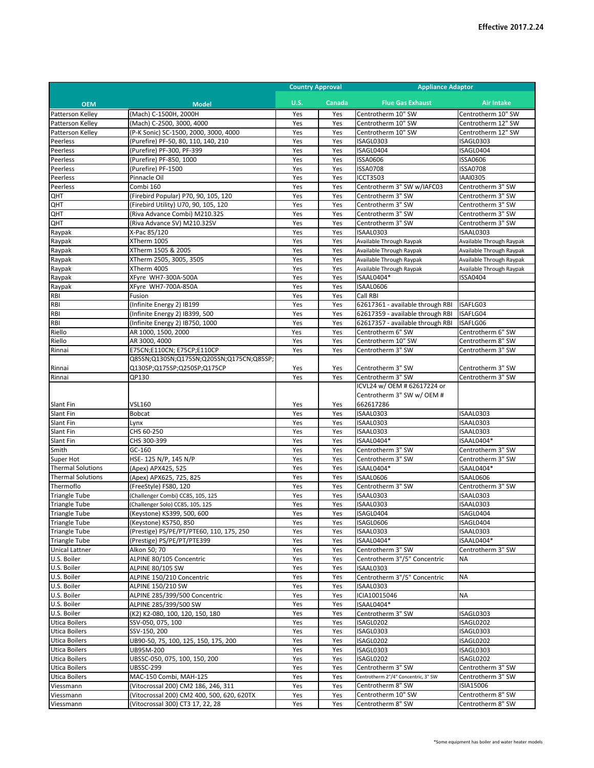|                                              |                                                                                | <b>Country Approval</b> |               | <b>Appliance Adaptor</b>                |                                        |
|----------------------------------------------|--------------------------------------------------------------------------------|-------------------------|---------------|-----------------------------------------|----------------------------------------|
| <b>OEM</b>                                   | <b>Model</b>                                                                   | <b>U.S.</b>             | <b>Canada</b> | <b>Flue Gas Exhaust</b>                 | <b>Air Intake</b>                      |
| Patterson Kelley                             | (Mach) C-1500H, 2000H                                                          | Yes                     | Yes           | Centrotherm 10" SW                      | Centrotherm 10" SW                     |
| Patterson Kelley                             | (Mach) C-2500, 3000, 4000                                                      | Yes                     | Yes           | Centrotherm 10" SW                      | Centrotherm 12" SW                     |
| Patterson Kelley                             | (P-K Sonic) SC-1500, 2000, 3000, 4000                                          | Yes                     | Yes           | Centrotherm 10" SW                      | Centrotherm 12" SW                     |
| Peerless                                     | (Purefire) PF-50, 80, 110, 140, 210                                            | Yes                     | Yes           | ISAGL0303                               | ISAGL0303                              |
| Peerless                                     | (Purefire) PF-300, PF-399                                                      | Yes                     | Yes           | ISAGL0404                               | ISAGL0404                              |
| Peerless                                     | (Purefire) PF-850, 1000                                                        | Yes                     | Yes           | ISSA0606                                | <b>ISSA0606</b>                        |
| Peerless                                     | (Purefire) PF-1500                                                             | Yes                     | Yes           | <b>ISSA0708</b>                         | <b>ISSA0708</b>                        |
| Peerless                                     | Pinnacle Oil                                                                   | Yes                     | Yes           | <b>ICCT3503</b>                         | <b>IAAI0305</b>                        |
| Peerless                                     | Combi 160<br>(Firebird Popular) P70, 90, 105, 120                              | Yes<br>Yes              | Yes           | Centrotherm 3" SW w/IAFC03              | Centrotherm 3" SW                      |
| QHT<br>QHT                                   | (Firebird Utility) U70, 90, 105, 120                                           | Yes                     | Yes<br>Yes    | Centrotherm 3" SW<br>Centrotherm 3" SW  | Centrotherm 3" SW<br>Centrotherm 3" SW |
| QHT                                          | (Riva Advance Combi) M210.32S                                                  | Yes                     | Yes           | Centrotherm 3" SW                       | Centrotherm 3" SW                      |
| QHT                                          | (Riva Advance SV) M210.32SV                                                    | Yes                     | Yes           | Centrotherm 3" SW                       | Centrotherm 3" SW                      |
| Raypak                                       | X-Pac 85/120                                                                   | Yes                     | Yes           | ISAAL0303                               | ISAAL0303                              |
| Raypak                                       | XTherm 1005                                                                    | Yes                     | Yes           | Available Through Raypak                | Available Through Raypak               |
| Raypak                                       | XTherm 1505 & 2005                                                             | Yes                     | Yes           | Available Through Raypak                | Available Through Raypak               |
| Raypak                                       | XTherm 2505, 3005, 3505                                                        | Yes                     | Yes           | Available Through Raypak                | Available Through Raypak               |
| Raypak                                       | XTherm 4005                                                                    | Yes                     | Yes           | Available Through Raypak                | Available Through Raypak               |
| Raypak                                       | XFyre WH7-300A-500A                                                            | Yes                     | Yes           | ISAAL0404*                              | <b>ISSA0404</b>                        |
| Raypak                                       | XFyre WH7-700A-850A                                                            | Yes                     | Yes           | ISAAL0606                               |                                        |
| RBI                                          | Fusion                                                                         | Yes                     | Yes           | Call RBI                                |                                        |
| RBI                                          | (Infinite Energy 2) IB199                                                      | Yes                     | Yes           | 62617361 - available through RBI        | ISAFLG03                               |
| RBI                                          | (Infinite Energy 2) IB399, 500                                                 | Yes                     | Yes           | 62617359 - available through RBI        | ISAFLG04                               |
| RBI                                          | (Infinite Energy 2) IB750, 1000                                                | Yes                     | Yes           | 62617357 - available through RBI        | ISAFLG06                               |
| Riello                                       | AR 1000, 1500, 2000                                                            | Yes                     | Yes           | Centrotherm 6" SW                       | Centrotherm 6" SW                      |
| Riello                                       | AR 3000, 4000                                                                  | Yes                     | Yes           | Centrotherm 10" SW                      | Centrotherm 8" SW                      |
| Rinnai                                       | E75CN;E110CN; E75CP;E110CP                                                     | Yes                     | Yes           | Centrotherm 3" SW                       | Centrotherm 3" SW                      |
|                                              | Q85SN;Q130SN;Q175SN;Q205SN;Q175CN;Q85SP;                                       |                         |               |                                         |                                        |
| Rinnai<br>Rinnai                             | Q130SP;Q175SP;Q250SP;Q175CP<br>QP130                                           | Yes<br>Yes              | Yes<br>Yes    | Centrotherm 3" SW<br>Centrotherm 3" SW  | Centrotherm 3" SW<br>Centrotherm 3" SW |
|                                              |                                                                                |                         |               | ICVL24 w/ OEM # 62617224 or             |                                        |
|                                              |                                                                                |                         |               | Centrotherm 3" SW w/ OEM #              |                                        |
| Slant Fin                                    | <b>VSL160</b>                                                                  | Yes                     | Yes           | 662617286                               |                                        |
| Slant Fin                                    | <b>Bobcat</b>                                                                  | Yes                     | Yes           | ISAAL0303                               | ISAAL0303                              |
| Slant Fin                                    | Lynx                                                                           | Yes                     | Yes           | ISAAL0303                               | ISAAL0303                              |
| Slant Fin                                    | CHS 60-250                                                                     | Yes                     | Yes           | ISAAL0303                               | ISAAL0303                              |
| Slant Fin                                    | CHS 300-399                                                                    | Yes                     | Yes           | ISAAL0404*                              | ISAAL0404*                             |
| Smith                                        | GC-160                                                                         | Yes                     | Yes           | Centrotherm 3" SW                       | Centrotherm 3" SW                      |
| Super Hot                                    | HSE-125 N/P, 145 N/P                                                           | Yes                     | Yes           | Centrotherm 3" SW                       | Centrotherm 3" SW                      |
| <b>Thermal Solutions</b>                     | (Apex) APX425, 525                                                             | Yes                     | Yes           | ISAAL0404*                              | ISAAL0404*                             |
| <b>Thermal Solutions</b>                     | (Apex) APX625, 725, 825                                                        | Yes                     | Yes           | ISAAL0606                               | ISAAL0606                              |
| Thermoflo                                    | (FreeStyle) FS80, 120                                                          | Yes                     | Yes           | Centrotherm 3" SW                       | Centrotherm 3" SW                      |
| <b>Triangle Tube</b>                         | (Challenger Combi) CC85, 105, 125                                              | Yes                     | Yes           | ISAAL0303                               | ISAAL0303                              |
| <b>Triangle Tube</b>                         | (Challenger Solo) CC85, 105, 125                                               | Yes                     | Yes           | ISAAL0303                               | ISAAL0303                              |
| <b>Triangle Tube</b>                         | (Keystone) KS399, 500, 600                                                     | Yes                     | Yes           | ISAGL0404<br>ISAGL0606                  | ISAGL0404<br>ISAGL0404                 |
| <b>Triangle Tube</b><br><b>Triangle Tube</b> | (Keystone) KS750, 850<br>(Prestige) PS/PE/PT/PTE60, 110, 175, 250              | Yes<br>Yes              | Yes<br>Yes    | ISAAL0303                               | ISAAL0303                              |
| <b>Triangle Tube</b>                         | (Prestige) PS/PE/PT/PTE399                                                     | Yes                     | Yes           | ISAAL0404*                              | ISAAL0404*                             |
| <b>Unical Lattner</b>                        | Alkon 50; 70                                                                   | Yes                     | Yes           | Centrotherm 3" SW                       | Centrotherm 3" SW                      |
| U.S. Boiler                                  | ALPINE 80/105 Concentric                                                       | Yes                     | Yes           | Centrotherm 3"/5" Concentric            | NA                                     |
| U.S. Boiler                                  | <b>ALPINE 80/105 SW</b>                                                        | Yes                     | Yes           | ISAAL0303                               |                                        |
| U.S. Boiler                                  | ALPINE 150/210 Concentric                                                      | Yes                     | Yes           | Centrotherm 3"/5" Concentric            | <b>NA</b>                              |
| U.S. Boiler                                  | ALPINE 150/210 SW                                                              | Yes                     | Yes           | ISAAL0303                               |                                        |
| U.S. Boiler                                  | ALPINE 285/399/500 Concentric                                                  | Yes                     | Yes           | ICIA10015046                            | <b>NA</b>                              |
| U.S. Boiler                                  | ALPINE 285/399/500 SW                                                          | Yes                     | Yes           | ISAAL0404*                              |                                        |
| U.S. Boiler                                  | (K2) K2-080, 100, 120, 150, 180                                                | Yes                     | Yes           | Centrotherm 3" SW                       | ISAGL0303                              |
| <b>Utica Boilers</b>                         | SSV-050, 075, 100                                                              | Yes                     | Yes           | ISAGL0202                               | ISAGL0202                              |
| <b>Utica Boilers</b>                         | SSV-150, 200                                                                   | Yes                     | Yes           | ISAGL0303                               | ISAGL0303                              |
| <b>Utica Boilers</b>                         | UB90-50, 75, 100, 125, 150, 175, 200                                           | Yes                     | Yes           | ISAGL0202                               | ISAGL0202                              |
| <b>Utica Boilers</b>                         | UB95M-200                                                                      | Yes                     | Yes           | ISAGL0303                               | ISAGL0303                              |
| <b>Utica Boilers</b>                         | UBSSC-050, 075, 100, 150, 200                                                  | Yes                     | Yes           | ISAGL0202                               | ISAGL0202                              |
| Utica Boilers                                | <b>UBSSC-299</b>                                                               | Yes                     | Yes           | Centrotherm 3" SW                       | Centrotherm 3" SW                      |
| <b>Utica Boilers</b>                         | MAC-150 Combi, MAH-125                                                         | Yes                     | Yes           | Centrotherm 2"/4" Concentric, 3" SW     | Centrotherm 3" SW                      |
| Viessmann                                    | (Vitocrossal 200) CM2 186, 246, 311                                            | Yes                     | Yes           | Centrotherm 8" SW<br>Centrotherm 10" SW | ISIA15006<br>Centrotherm 8" SW         |
| Viessmann<br>Viessmann                       | (Vitocrossal 200) CM2 400, 500, 620, 620TX<br>(Vitocrossal 300) CT3 17, 22, 28 | Yes                     | Yes           | Centrotherm 8" SW                       | Centrotherm 8" SW                      |
|                                              |                                                                                | Yes                     | Yes           |                                         |                                        |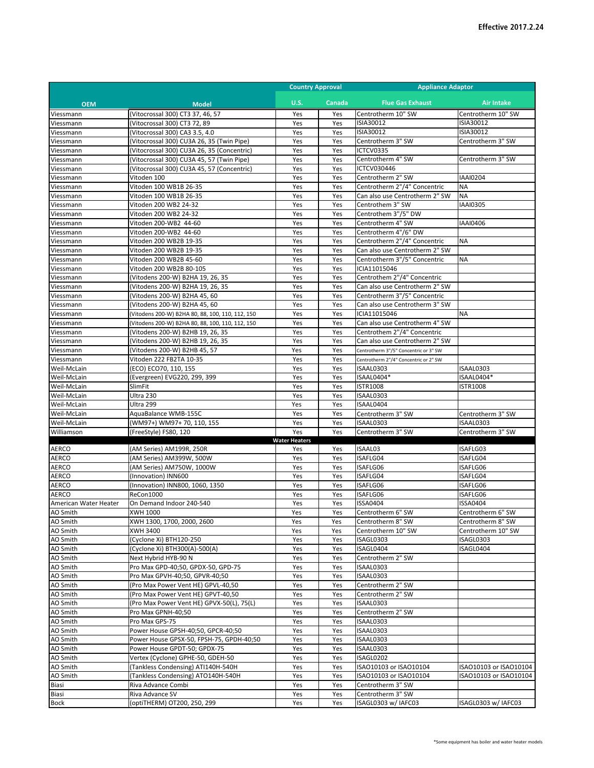|                            |                                                                      | <b>Country Approval</b> |            | <b>Appliance Adaptor</b>                          |                               |
|----------------------------|----------------------------------------------------------------------|-------------------------|------------|---------------------------------------------------|-------------------------------|
| <b>OEM</b>                 | <b>Model</b>                                                         | <b>U.S.</b>             | Canada     | <b>Flue Gas Exhaust</b>                           | <b>Air Intake</b>             |
| Viessmann                  | (Vitocrossal 300) CT3 37, 46, 57                                     | Yes                     | Yes        | Centrotherm 10" SW                                | Centrotherm 10" SW            |
| Viessmann                  | (Vitocrossal 300) CT3 72, 89                                         | Yes                     | Yes        | ISIA30012                                         | ISIA30012                     |
| Viessmann                  | (Vitocrossal 300) CA3 3.5, 4.0                                       | Yes                     | Yes        | ISIA30012                                         | ISIA30012                     |
| Viessmann                  | (Vitocrossal 300) CU3A 26, 35 (Twin Pipe)                            | Yes                     | Yes        | Centrotherm 3" SW                                 | Centrotherm 3" SW             |
| Viessmann                  | (Vitocrossal 300) CU3A 26, 35 (Concentric)                           | Yes                     | Yes        | ICTCV0335                                         |                               |
| Viessmann                  | (Vitocrossal 300) CU3A 45, 57 (Twin Pipe)                            | Yes                     | Yes        | Centrotherm 4" SW                                 | Centrotherm 3" SW             |
| Viessmann                  | (Vitocrossal 300) CU3A 45, 57 (Concentric)                           | Yes                     | Yes        | ICTCV030446                                       |                               |
| Viessmann<br>Viessmann     | Vitoden 100<br>Vitoden 100 WB1B 26-35                                | Yes<br>Yes              | Yes<br>Yes | Centrotherm 2" SW<br>Centrotherm 2"/4" Concentric | <b>IAAI0204</b><br><b>NA</b>  |
| Viessmann                  | Vitoden 100 WB1B 26-35                                               | Yes                     | Yes        | Can also use Centrotherm 2" SW                    | <b>NA</b>                     |
| Viessmann                  | Vitoden 200 WB2 24-32                                                | Yes                     | Yes        | Centrothem 3" SW                                  | <b>IAAI0305</b>               |
| Viessmann                  | Vitoden 200 WB2 24-32                                                | Yes                     | Yes        | Centrothem 3"/5" DW                               |                               |
| Viessmann                  | Vitoden 200-WB2 44-60                                                | Yes                     | Yes        | Centrotherm 4" SW                                 | IAAI0406                      |
| Viessmann                  | Vitoden 200-WB2 44-60                                                | Yes                     | Yes        | Centrotherm 4"/6" DW                              |                               |
| Viessmann                  | Vitoden 200 WB2B 19-35                                               | Yes                     | Yes        | Centrotherm 2"/4" Concentric                      | <b>NA</b>                     |
| Viessmann                  | Vitoden 200 WB2B 19-35                                               | Yes                     | Yes        | Can also use Centrotherm 2" SW                    |                               |
| Viessmann                  | Vitoden 200 WB2B 45-60                                               | Yes                     | Yes        | Centrotherm 3"/5" Concentric                      | <b>NA</b>                     |
| Viessmann<br>Viessmann     | Vitoden 200 WB2B 80-105<br>(Vitodens 200-W) B2HA 19, 26, 35          | Yes<br>Yes              | Yes<br>Yes | ICIA11015046<br>Centrothem 2"/4" Concentric       |                               |
| Viessmann                  | (Vitodens 200-W) B2HA 19, 26, 35                                     | Yes                     | Yes        | Can also use Centrotherm 2" SW                    |                               |
| Viessmann                  | (Vitodens 200-W) B2HA 45, 60                                         | Yes                     | Yes        | Centrotherm 3"/5" Concentric                      |                               |
| Viessmann                  | (Vitodens 200-W) B2HA 45, 60                                         | Yes                     | Yes        | Can also use Centrotherm 3" SW                    |                               |
| Viessmann                  | (Vitodens 200-W) B2HA 80, 88, 100, 110, 112, 150                     | Yes                     | Yes        | ICIA11015046                                      | <b>NA</b>                     |
| Viessmann                  | (Vitodens 200-W) B2HA 80, 88, 100, 110, 112, 150                     | Yes                     | Yes        | Can also use Centrotherm 4" SW                    |                               |
| Viessmann                  | (Vitodens 200-W) B2HB 19, 26, 35                                     | Yes                     | Yes        | Centrothem 2"/4" Concentric                       |                               |
| Viessmann                  | (Vitodens 200-W) B2HB 19, 26, 35                                     | Yes                     | Yes        | Can also use Centrotherm 2" SW                    |                               |
| Viessmann                  | (Vitodens 200-W) B2HB 45, 57                                         | Yes                     | Yes        | Centrotherm 3"/5" Concentric or 3" SW             |                               |
| Viessmann                  | Vitoden 222 FB2TA 10-35                                              | Yes                     | Yes        | Centrotherm 2"/4" Concentric or 2" SW             |                               |
| Weil-McLain                | (ECO) ECO70, 110, 155                                                | Yes                     | Yes        | ISAAL0303                                         | ISAAL0303                     |
| Weil-McLain                | (Evergreen) EVG220, 299, 399<br>SlimFit                              | Yes                     | Yes        | ISAAL0404*<br><b>ISTR1008</b>                     | ISAAL0404*<br><b>ISTR1008</b> |
| Weil-McLain<br>Weil-McLain | Ultra 230                                                            | Yes<br>Yes              | Yes<br>Yes | ISAAL0303                                         |                               |
| Weil-McLain                | Ultra 299                                                            | Yes                     | Yes        | ISAAL0404                                         |                               |
| Weil-McLain                | AquaBalance WMB-155C                                                 | Yes                     | Yes        | Centrotherm 3" SW                                 | Centrotherm 3" SW             |
| Weil-McLain                | (WM97+) WM97+ 70, 110, 155                                           | Yes                     | Yes        | ISAAL0303                                         | ISAAL0303                     |
| Williamson                 | (FreeStyle) FS80, 120                                                | Yes                     | Yes        | Centrotherm 3" SW                                 | Centrotherm 3" SW             |
|                            |                                                                      | <b>Water Heaters</b>    |            |                                                   |                               |
| <b>AERCO</b>               | (AM Series) AM199R, 250R                                             | Yes                     | Yes        | ISAAL03                                           | ISAFLG03                      |
| AERCO                      | (AM Series) AM399W, 500W                                             | Yes                     | Yes        | ISAFLG04                                          | ISAFLG04                      |
| AERCO<br>AERCO             | (AM Series) AM750W, 1000W<br>(Innovation) INN600                     | Yes<br>Yes              | Yes<br>Yes | ISAFLG06<br>ISAFLG04                              | ISAFLG06<br>ISAFLG04          |
| AERCO                      | (Innovation) INN800, 1060, 1350                                      | Yes                     | Yes        | ISAFLG06                                          | ISAFLG06                      |
| <b>AERCO</b>               | ReCon1000                                                            | Yes                     | Yes        | ISAFLG06                                          | ISAFLG06                      |
| American Water Heater      | On Demand Indoor 240-540                                             | Yes                     | Yes        | <b>ISSA0404</b>                                   | <b>ISSA0404</b>               |
| AO Smith                   | XWH 1000                                                             | Yes                     | Yes        | Centrotherm 6" SW                                 | Centrotherm 6" SW             |
| AO Smith                   | XWH 1300, 1700, 2000, 2600                                           | Yes                     | Yes        | Centrotherm 8" SW                                 | Centrotherm 8" SW             |
| AO Smith                   | XWH 3400                                                             | Yes                     | Yes        | Centrotherm 10" SW                                | Centrotherm 10" SW            |
| AO Smith                   | (Cyclone Xi) BTH120-250                                              | Yes                     | Yes        | ISAGL0303                                         | ISAGL0303                     |
| AO Smith                   | (Cyclone Xi) BTH300(A)-500(A)                                        | Yes                     | Yes        | ISAGL0404                                         | ISAGL0404                     |
| AO Smith                   | Next Hybrid HYB-90 N                                                 | Yes                     | Yes        | Centrotherm 2" SW<br>ISAAL0303                    |                               |
| AO Smith<br>AO Smith       | Pro Max GPD-40;50, GPDX-50, GPD-75<br>Pro Max GPVH-40;50, GPVR-40;50 | Yes<br>Yes              | Yes<br>Yes | ISAAL0303                                         |                               |
| AO Smith                   | (Pro Max Power Vent HE) GPVL-40,50                                   | Yes                     | Yes        | Centrotherm 2" SW                                 |                               |
| AO Smith                   | (Pro Max Power Vent HE) GPVT-40,50                                   | Yes                     | Yes        | Centrotherm 2" SW                                 |                               |
| AO Smith                   | (Pro Max Power Vent HE) GPVX-50(L), 75(L)                            | Yes                     | Yes        | ISAAL0303                                         |                               |
| AO Smith                   | Pro Max GPNH-40;50                                                   | Yes                     | Yes        | Centrotherm 2" SW                                 |                               |
| AO Smith                   | Pro Max GPS-75                                                       | Yes                     | Yes        | ISAAL0303                                         |                               |
| AO Smith                   | Power House GPSH-40;50, GPCR-40;50                                   | Yes                     | Yes        | ISAAL0303                                         |                               |
| AO Smith                   | Power House GPSX-50, FPSH-75, GPDH-40;50                             | Yes                     | Yes        | ISAAL0303                                         |                               |
| AO Smith                   | Power House GPDT-50; GPDX-75                                         | Yes                     | Yes        | ISAAL0303                                         |                               |
| AO Smith                   | Vertex (Cyclone) GPHE-50, GDEH-50                                    | Yes                     | Yes        | ISAGL0202                                         |                               |
| AO Smith                   | (Tankless Condensing) ATI140H-540H                                   | Yes                     | Yes        | ISAO10103 or ISAO10104                            | ISA010103 or ISA010104        |
| AO Smith                   | (Tankless Condensing) ATO140H-540H                                   | Yes                     | Yes        | ISAO10103 or ISAO10104                            | ISAO10103 or ISAO10104        |
| Biasi<br>Biasi             | Riva Advance Combi<br>Riva Advance SV                                | Yes<br>Yes              | Yes<br>Yes | Centrotherm 3" SW<br>Centrotherm 3" SW            |                               |
| Bock                       | (optiTHERM) OT200, 250, 299                                          | Yes                     | Yes        | ISAGL0303 w/ IAFC03                               | ISAGL0303 w/ IAFC03           |
|                            |                                                                      |                         |            |                                                   |                               |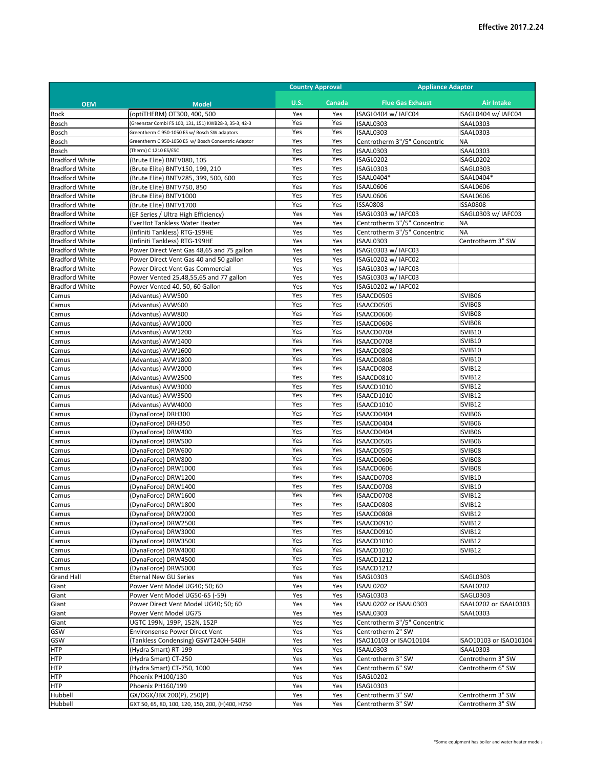|                                                |                                                                          | <b>Country Approval</b> |               | <b>Appliance Adaptor</b>                   |                                     |
|------------------------------------------------|--------------------------------------------------------------------------|-------------------------|---------------|--------------------------------------------|-------------------------------------|
| <b>OEM</b>                                     | <b>Model</b>                                                             | <b>U.S.</b>             | <b>Canada</b> | <b>Flue Gas Exhaust</b>                    | <b>Air Intake</b>                   |
| Bock                                           | (optiTHERM) OT300, 400, 500                                              | Yes                     | Yes           | ISAGL0404 w/ IAFC04                        | ISAGL0404 w/ IAFC04                 |
| Bosch                                          | Greenstar Combi FS 100, 131, 151) KWB28-3, 35-3, 42-3                    | Yes                     | Yes           | ISAAL0303                                  | ISAAL0303                           |
| Bosch                                          | Greentherm C 950-1050 ES w/ Bosch SW adaptors                            | Yes                     | Yes           | ISAAL0303                                  | ISAAL0303                           |
| Bosch                                          | Greentherm C 950-1050 ES w/ Bosch Concentric Adaptor                     | Yes                     | Yes           | Centrotherm 3"/5" Concentric               | <b>NA</b>                           |
| Bosch                                          | (Therm) C 1210 ES/ESC                                                    | Yes                     | Yes           | ISAAL0303                                  | ISAAL0303                           |
| <b>Bradford White</b>                          | (Brute Elite) BNTV080, 105                                               | Yes                     | Yes           | ISAGL0202                                  | ISAGL0202                           |
| <b>Bradford White</b>                          | (Brute Elite) BNTV150, 199, 210                                          | Yes                     | Yes           | ISAGL0303                                  | ISAGL0303                           |
| <b>Bradford White</b><br><b>Bradford White</b> | (Brute Elite) BNTV285, 399, 500, 600                                     | Yes<br>Yes              | Yes<br>Yes    | ISAAL0404*<br>ISAAL0606                    | ISAAL0404*<br>ISAAL0606             |
| <b>Bradford White</b>                          | (Brute Elite) BNTV750, 850<br>(Brute Elite) BNTV1000                     | Yes                     | Yes           | ISAAL0606                                  | ISAAL0606                           |
| <b>Bradford White</b>                          | (Brute Elite) BNTV1700                                                   | Yes                     | Yes           | <b>ISSA0808</b>                            | <b>ISSA0808</b>                     |
| <b>Bradford White</b>                          | (EF Series / Ultra High Efficiency)                                      | Yes                     | Yes           | ISAGL0303 w/ IAFC03                        | ISAGL0303 w/ IAFC03                 |
| <b>Bradford White</b>                          | EverHot Tankless Water Heater                                            | Yes                     | Yes           | Centrotherm 3"/5" Concentric               | <b>NA</b>                           |
| <b>Bradford White</b>                          | (Infiniti Tankless) RTG-199HE                                            | Yes                     | Yes           | Centrotherm 3"/5" Concentric               | <b>NA</b>                           |
| <b>Bradford White</b>                          | (Infiniti Tankless) RTG-199HE                                            | Yes                     | Yes           | ISAAL0303                                  | Centrotherm 3" SW                   |
| <b>Bradford White</b>                          | Power Direct Vent Gas 48,65 and 75 gallon                                | Yes                     | Yes           | ISAGL0303 w/ IAFC03                        |                                     |
| <b>Bradford White</b>                          | Power Direct Vent Gas 40 and 50 gallon                                   | Yes                     | Yes           | ISAGL0202 w/ IAFC02                        |                                     |
| <b>Bradford White</b>                          | Power Direct Vent Gas Commercial                                         | Yes                     | Yes           | ISAGL0303 w/ IAFC03                        |                                     |
| <b>Bradford White</b>                          | Power Vented 25,48,55,65 and 77 gallon<br>Power Vented 40, 50, 60 Gallon | Yes<br>Yes              | Yes           | ISAGL0303 w/ IAFC03<br>ISAGL0202 w/ IAFC02 |                                     |
| <b>Bradford White</b><br>Camus                 | (Advantus) AVW500                                                        | Yes                     | Yes<br>Yes    | ISAACD0505                                 | ISVIB06                             |
| Camus                                          | (Advantus) AVW600                                                        | Yes                     | Yes           | ISAACD0505                                 | ISVIB08                             |
| Camus                                          | (Advantus) AVW800                                                        | Yes                     | Yes           | ISAACD0606                                 | ISVIB08                             |
| Camus                                          | (Advantus) AVW1000                                                       | Yes                     | Yes           | ISAACD0606                                 | ISVIB08                             |
| Camus                                          | (Advantus) AVW1200                                                       | Yes                     | Yes           | ISAACD0708                                 | ISVIB10                             |
| Camus                                          | (Advantus) AVW1400                                                       | Yes                     | Yes           | ISAACD0708                                 | ISVIB10                             |
| Camus                                          | (Advantus) AVW1600                                                       | Yes                     | Yes           | ISAACD0808                                 | ISVIB10                             |
| Camus                                          | (Advantus) AVW1800                                                       | Yes                     | Yes           | ISAACD0808                                 | ISVIB10                             |
| Camus                                          | (Advantus) AVW2000                                                       | Yes                     | Yes           | ISAACD0808                                 | ISVIB12                             |
| Camus                                          | (Advantus) AVW2500                                                       | Yes                     | Yes           | ISAACD0810                                 | ISVIB12                             |
| Camus                                          | (Advantus) AVW3000                                                       | Yes<br>Yes              | Yes<br>Yes    | ISAACD1010                                 | ISVIB12<br>ISVIB12                  |
| Camus<br>Camus                                 | (Advantus) AVW3500<br>(Advantus) AVW4000                                 | Yes                     | Yes           | ISAACD1010<br>ISAACD1010                   | ISVIB12                             |
| Camus                                          | (DynaForce) DRH300                                                       | Yes                     | Yes           | ISAACD0404                                 | ISVIB06                             |
| Camus                                          | (DynaForce) DRH350                                                       | Yes                     | Yes           | ISAACD0404                                 | ISVIB06                             |
| Camus                                          | (DynaForce) DRW400                                                       | Yes                     | Yes           | ISAACD0404                                 | ISVIB06                             |
| Camus                                          | (DynaForce) DRW500                                                       | Yes                     | Yes           | ISAACD0505                                 | ISVIB06                             |
| Camus                                          | (DynaForce) DRW600                                                       | Yes                     | Yes           | ISAACD0505                                 | ISVIB08                             |
| Camus                                          | (DynaForce) DRW800                                                       | Yes                     | Yes           | ISAACD0606                                 | ISVIB08                             |
| Camus                                          | (DynaForce) DRW1000                                                      | Yes                     | Yes           | ISAACD0606                                 | ISVIB08                             |
| Camus                                          | (DynaForce) DRW1200                                                      | Yes                     | Yes           | ISAACD0708                                 | ISVIB10                             |
| Camus                                          | (DynaForce) DRW1400                                                      | Yes<br>Yes              | Yes<br>Yes    | ISAACD0708                                 | ISVIB10                             |
| Camus                                          | (DynaForce) DRW1600                                                      | Yes                     | Yes           | ISAACD0708<br>ISAACD0808                   | ISVIB12<br>ISVIB12                  |
| Camus<br>Camus                                 | (DynaForce) DRW1800<br>(DynaForce) DRW2000                               | Yes                     | Yes           | ISAACD0808                                 | ISVIB12                             |
| Camus                                          | (DynaForce) DRW2500                                                      | Yes                     | Yes           | ISAACD0910                                 | ISVIB12                             |
| Camus                                          | (DynaForce) DRW3000                                                      | Yes                     | Yes           | ISAACD0910                                 | ISVIB12                             |
| Camus                                          | (DynaForce) DRW3500                                                      | Yes                     | Yes           | ISAACD1010                                 | ISVIB12                             |
| Camus                                          | (DynaForce) DRW4000                                                      | Yes                     | Yes           | ISAACD1010                                 | ISVIB12                             |
| Camus                                          | (DynaForce) DRW4500                                                      | Yes                     | Yes           | ISAACD1212                                 |                                     |
| Camus                                          | (DynaForce) DRW5000                                                      | Yes                     | Yes           | ISAACD1212                                 |                                     |
| <b>Grand Hall</b>                              | <b>Eternal New GU Series</b>                                             | Yes                     | Yes           | ISAGL0303                                  | ISAGL0303                           |
| Giant                                          | Power Vent Model UG40; 50; 60                                            | Yes                     | Yes           | ISAAL0202                                  | ISAAL0202                           |
| Giant<br>Giant                                 | Power Vent Model UG50-65 (-59)<br>Power Direct Vent Model UG40; 50; 60   | Yes<br>Yes              | Yes<br>Yes    | ISAGL0303<br>ISAAL0202 or ISAAL0303        | ISAGL0303<br>ISAAL0202 or ISAAL0303 |
| Giant                                          | Power Vent Model UG75                                                    | Yes                     | Yes           | ISAAL0303                                  | ISAAL0303                           |
| Giant                                          | UGTC 199N, 199P, 152N, 152P                                              | Yes                     | Yes           | Centrotherm 3"/5" Concentric               |                                     |
| GSW                                            | <b>Environsense Power Direct Vent</b>                                    | Yes                     | Yes           | Centrotherm 2" SW                          |                                     |
| GSW                                            | (Tankless Condensing) GSWT240H-540H                                      | Yes                     | Yes           | ISAO10103 or ISAO10104                     | ISA010103 or ISA010104              |
| <b>HTP</b>                                     | (Hydra Smart) RT-199                                                     | Yes                     | Yes           | ISAAL0303                                  | ISAAL0303                           |
| <b>HTP</b>                                     | (Hydra Smart) CT-250                                                     | Yes                     | Yes           | Centrotherm 3" SW                          | Centrotherm 3" SW                   |
| <b>HTP</b>                                     | (Hydra Smart) CT-750, 1000                                               | Yes                     | Yes           | Centrotherm 6" SW                          | Centrotherm 6" SW                   |
| <b>HTP</b>                                     | Phoenix PH100/130                                                        | Yes                     | Yes           | ISAGL0202                                  |                                     |
| <b>HTP</b>                                     | Phoenix PH160/199                                                        | Yes                     | Yes           | ISAGL0303                                  |                                     |
| Hubbell                                        | GX/DGX/JBX 200(P), 250(P)                                                | Yes                     | Yes           | Centrotherm 3" SW                          | Centrotherm 3" SW                   |
| Hubbell                                        | GXT 50, 65, 80, 100, 120, 150, 200, (H)400, H750                         | Yes                     | Yes           | Centrotherm 3" SW                          | Centrotherm 3" SW                   |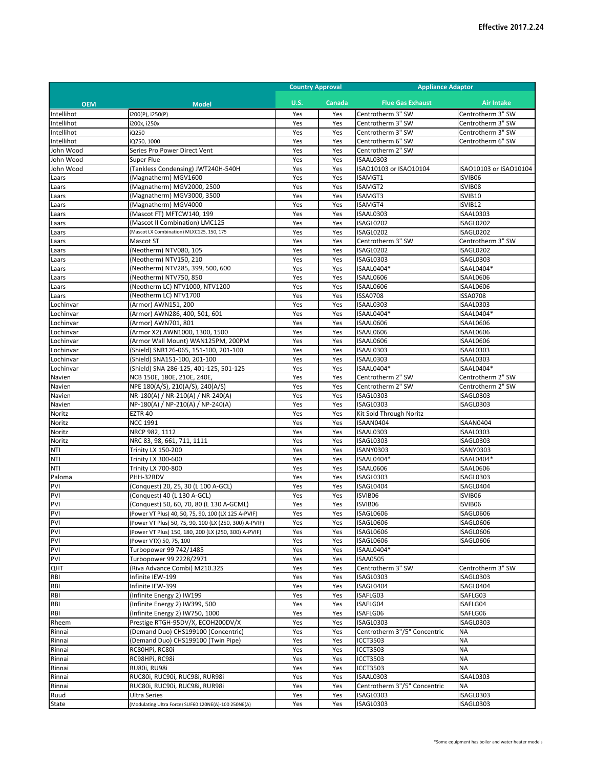|                   |                                                                                                                | <b>Country Approval</b> |            | <b>Appliance Adaptor</b>       |                                |
|-------------------|----------------------------------------------------------------------------------------------------------------|-------------------------|------------|--------------------------------|--------------------------------|
| <b>OEM</b>        | <b>Model</b>                                                                                                   | <b>U.S.</b>             | Canada     | <b>Flue Gas Exhaust</b>        | <b>Air Intake</b>              |
| Intellihot        | i200(P), i250(P)                                                                                               | Yes                     | Yes        | Centrotherm 3" SW              | Centrotherm 3" SW              |
| Intellihot        | 200x, i250x                                                                                                    | Yes                     | Yes        | Centrotherm 3" SW              | Centrotherm 3" SW              |
| Intellihot        | iQ250                                                                                                          | Yes                     | Yes        | Centrotherm 3" SW              | Centrotherm 3" SW              |
| Intellihot        | iQ750, 1000                                                                                                    | Yes                     | Yes        | Centrotherm 6" SW              | Centrotherm 6" SW              |
| John Wood         | Series Pro Power Direct Vent                                                                                   | Yes                     | Yes        | Centrotherm 2" SW              |                                |
| John Wood         | Super Flue                                                                                                     | Yes                     | Yes        | ISAAL0303                      |                                |
| John Wood         | (Tankless Condensing) JWT240H-540H                                                                             | Yes                     | Yes        | ISAO10103 or ISAO10104         | ISA010103 or ISA010104         |
| Laars             | (Magnatherm) MGV1600                                                                                           | Yes                     | Yes        | ISAMGT1                        | ISVIB06                        |
| Laars             | (Magnatherm) MGV2000, 2500<br>(Magnatherm) MGV3000, 3500                                                       | Yes<br>Yes              | Yes        | ISAMGT2<br>ISAMGT3             | ISVIB08<br>ISVIB10             |
| Laars<br>Laars    | (Magnatherm) MGV4000                                                                                           | Yes                     | Yes<br>Yes | ISAMGT4                        | ISVIB12                        |
| Laars             | (Mascot FT) MFTCW140, 199                                                                                      | Yes                     | Yes        | ISAAL0303                      | ISAAL0303                      |
| Laars             | (Mascot II Combination) LMC125                                                                                 | Yes                     | Yes        | ISAGL0202                      | ISAGL0202                      |
| Laars             | (Mascot LX Combination) MLXC125, 150, 175                                                                      | Yes                     | Yes        | ISAGL0202                      | ISAGL0202                      |
| Laars             | Mascot ST                                                                                                      | Yes                     | Yes        | Centrotherm 3" SW              | Centrotherm 3" SW              |
| Laars             | (Neotherm) NTV080, 105                                                                                         | Yes                     | Yes        | ISAGL0202                      | ISAGL0202                      |
| Laars             | (Neotherm) NTV150, 210                                                                                         | Yes                     | Yes        | ISAGL0303                      | ISAGL0303                      |
| Laars             | (Neotherm) NTV285, 399, 500, 600                                                                               | Yes                     | Yes        | ISAAL0404*                     | ISAAL0404*                     |
| Laars             | (Neotherm) NTV750, 850                                                                                         | Yes                     | Yes        | ISAAL0606                      | ISAAL0606                      |
| Laars             | (Neotherm LC) NTV1000, NTV1200                                                                                 | Yes                     | Yes        | ISAAL0606                      | ISAAL0606                      |
| Laars             | (Neotherm LC) NTV1700                                                                                          | Yes                     | Yes        | <b>ISSA0708</b>                | <b>ISSA0708</b>                |
| Lochinvar         | (Armor) AWN151, 200                                                                                            | Yes                     | Yes        | ISAAL0303                      | ISAAL0303                      |
| Lochinvar         | (Armor) AWN286, 400, 501, 601                                                                                  | Yes                     | Yes        | ISAAL0404*                     | ISAAL0404*                     |
| Lochinvar         | (Armor) AWN701, 801                                                                                            | Yes                     | Yes        | ISAAL0606                      | ISAAL0606                      |
| Lochinvar         | (Armor X2) AWN1000, 1300, 1500                                                                                 | Yes                     | Yes        | ISAAL0606                      | ISAAL0606                      |
| Lochinvar         | (Armor Wall Mount) WAN125PM, 200PM                                                                             | Yes                     | Yes        | ISAAL0606                      | ISAAL0606                      |
| Lochinvar         | (Shield) SNR126-065, 151-100, 201-100                                                                          | Yes                     | Yes        | ISAAL0303                      | ISAAL0303                      |
| Lochinvar         | (Shield) SNA151-100, 201-100                                                                                   | Yes                     | Yes        | ISAAL0303                      | ISAAL0303                      |
| Lochinvar         | (Shield) SNA 286-125, 401-125, 501-125                                                                         | Yes                     | Yes        | ISAAL0404*                     | ISAAL0404*                     |
| Navien            | NCB 150E, 180E, 210E, 240E,                                                                                    | Yes                     | Yes        | Centrotherm 2" SW              | Centrotherm 2" SW              |
| Navien<br>Navien  | NPE 180(A/S), 210(A/S), 240(A/S)<br>NR-180(A) / NR-210(A) / NR-240(A)                                          | Yes<br>Yes              | Yes<br>Yes | Centrotherm 2" SW<br>ISAGL0303 | Centrotherm 2" SW<br>ISAGL0303 |
| Navien            | NP-180(A) / NP-210(A) / NP-240(A)                                                                              | Yes                     | Yes        | ISAGL0303                      | ISAGL0303                      |
| Noritz            | <b>EZTR 40</b>                                                                                                 | Yes                     | Yes        | Kit Sold Through Noritz        |                                |
| Noritz            | <b>NCC 1991</b>                                                                                                | Yes                     | Yes        | ISAAN0404                      | ISAAN0404                      |
| Noritz            | NRCP 982, 1112                                                                                                 | Yes                     | Yes        | ISAAL0303                      | ISAAL0303                      |
| Noritz            | NRC 83, 98, 661, 711, 1111                                                                                     | Yes                     | Yes        | ISAGL0303                      | ISAGL0303                      |
| NTI               | <b>Trinity LX 150-200</b>                                                                                      | Yes                     | Yes        | ISANY0303                      | <b>ISANY0303</b>               |
| NTI               | Trinity LX 300-600                                                                                             | Yes                     | Yes        | ISAAL0404*                     | ISAAL0404*                     |
| NTI               | <b>Trinity LX 700-800</b>                                                                                      | Yes                     | Yes        | ISAAL0606                      | ISAAL0606                      |
| Paloma            | PHH-32RDV                                                                                                      | Yes                     | Yes        | ISAGL0303                      | ISAGL0303                      |
| PVI               | (Conquest) 20, 25, 30 (L 100 A-GCL)                                                                            | Yes                     | Yes        | ISAGL0404                      | ISAGL0404                      |
| PVI               | (Conquest) 40 (L 130 A-GCL)                                                                                    | Yes                     | Yes        | ISVIB06                        | ISVIB06                        |
| PVI               | (Conquest) 50, 60, 70, 80 (L 130 A-GCML)                                                                       | Yes                     | Yes        | ISVIB06                        | ISVIB06                        |
| <b>PVI</b><br>PVI | (Power VT Plus) 40, 50, 75, 90, 100 (LX 125 A-PVIF)                                                            | Yes                     | Yes        | ISAGL0606                      | ISAGL0606                      |
| PVI               | (Power VT Plus) 50, 75, 90, 100 (LX (250, 300) A-PVIF)<br>(Power VT Plus) 150, 180, 200 (LX (250, 300) A-PVIF) | Yes<br>Yes              | Yes<br>Yes | ISAGL0606<br>ISAGL0606         | ISAGL0606<br>ISAGL0606         |
| PVI               | (Power VTX) 50, 75, 100                                                                                        | Yes                     | Yes        | ISAGL0606                      | ISAGL0606                      |
| PVI               | Turbopower 99 742/1485                                                                                         | Yes                     | Yes        | ISAAL0404*                     |                                |
| PVI               | Turbopower 99 2228/2971                                                                                        | Yes                     | Yes        | <b>ISAA0505</b>                |                                |
| QHT               | (Riva Advance Combi) M210.32S                                                                                  | Yes                     | Yes        | Centrotherm 3" SW              | Centrotherm 3" SW              |
| RBI               | Infinite IEW-199                                                                                               | Yes                     | Yes        | ISAGL0303                      | ISAGL0303                      |
| RBI               | Infinite IEW-399                                                                                               | Yes                     | Yes        | ISAGL0404                      | ISAGL0404                      |
| RBI               | (Infinite Energy 2) IW199                                                                                      | Yes                     | Yes        | ISAFLG03                       | ISAFLG03                       |
| RBI               | (Infinite Energy 2) IW399, 500                                                                                 | Yes                     | Yes        | ISAFLG04                       | ISAFLG04                       |
| RBI               | (Infinite Energy 2) IW750, 1000                                                                                | Yes                     | Yes        | ISAFLG06                       | ISAFLG06                       |
| Rheem             | Prestige RTGH-95DV/X, ECOH200DV/X                                                                              | Yes                     | Yes        | ISAGL0303                      | ISAGL0303                      |
| Rinnai            | (Demand Duo) CHS199100 (Concentric)                                                                            | Yes                     | Yes        | Centrotherm 3"/5" Concentric   | <b>NA</b>                      |
| Rinnai            | (Demand Duo) CHS199100 (Twin Pipe)                                                                             | Yes                     | Yes        | <b>ICCT3503</b>                | <b>NA</b>                      |
| Rinnai            | RC80HPi, RC80i                                                                                                 | Yes                     | Yes        | <b>ICCT3503</b>                | <b>NA</b>                      |
| Rinnai            | RC98HPi, RC98i                                                                                                 | Yes                     | Yes        | <b>ICCT3503</b>                | <b>NA</b>                      |
| Rinnai            | RU80i, RU98i                                                                                                   | Yes                     | Yes        | ICCT3503                       | <b>NA</b>                      |
| Rinnai            | RUC80i, RUC90i, RUC98i, RUR98i                                                                                 | Yes                     | Yes        | ISAAL0303                      | ISAAL0303                      |
| Rinnai            | RUC80i, RUC90i, RUC98i, RUR98i                                                                                 | Yes                     | Yes        | Centrotherm 3"/5" Concentric   | <b>NA</b>                      |
| Ruud              | <b>Ultra Series</b>                                                                                            | Yes                     | Yes        | ISAGL0303                      | ISAGL0303                      |
| State             | Modulating Ultra Force) SUF60 120NE(A)-100 250NE(A)                                                            | Yes                     | Yes        | ISAGL0303                      | ISAGL0303                      |